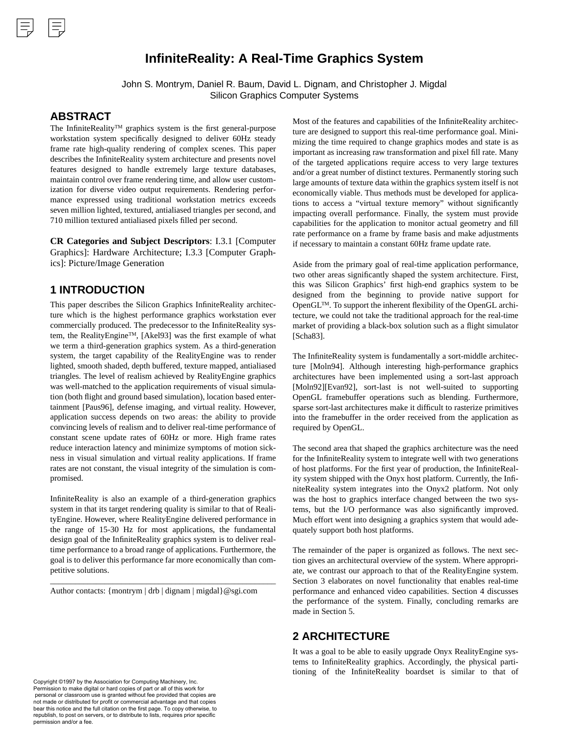

# **InfiniteReality: A Real-Time Graphics System**

John S. Montrym, Daniel R. Baum, David L. Dignam, and Christopher J. Migdal Silicon Graphics Computer Systems

### **ABSTRACT**

The InfiniteReality<sup>™</sup> graphics system is the first general-purpose workstation system specifically designed to deliver 60Hz steady frame rate high-quality rendering of complex scenes. This paper describes the InfiniteReality system architecture and presents novel features designed to handle extremely large texture databases, maintain control over frame rendering time, and allow user customization for diverse video output requirements. Rendering performance expressed using traditional workstation metrics exceeds seven million lighted, textured, antialiased triangles per second, and 710 million textured antialiased pixels filled per second.

**CR Categories and Subject Descriptors**: I.3.1 [Computer Graphics]: Hardware Architecture; I.3.3 [Computer Graphics]: Picture/Image Generation

# **1 INTRODUCTION**

This paper describes the Silicon Graphics InfiniteReality architecture which is the highest performance graphics workstation ever commercially produced. The predecessor to the InfiniteReality system, the RealityEngineTM, [Akel93] was the first example of what we term a third-generation graphics system. As a third-generation system, the target capability of the RealityEngine was to render lighted, smooth shaded, depth buffered, texture mapped, antialiased triangles. The level of realism achieved by RealityEngine graphics was well-matched to the application requirements of visual simulation (both flight and ground based simulation), location based entertainment [Paus96], defense imaging, and virtual reality. However, application success depends on two areas: the ability to provide convincing levels of realism and to deliver real-time performance of constant scene update rates of 60Hz or more. High frame rates reduce interaction latency and minimize symptoms of motion sickness in visual simulation and virtual reality applications. If frame rates are not constant, the visual integrity of the simulation is compromised.

InfiniteReality is also an example of a third-generation graphics system in that its target rendering quality is similar to that of RealityEngine. However, where RealityEngine delivered performance in the range of 15-30 Hz for most applications, the fundamental design goal of the InfiniteReality graphics system is to deliver realtime performance to a broad range of applications. Furthermore, the goal is to deliver this performance far more economically than competitive solutions.

\_\_\_\_\_\_\_\_\_\_\_\_\_\_\_\_\_\_\_\_\_\_\_\_\_\_\_\_\_\_\_\_\_\_\_\_\_\_\_\_\_\_\_\_\_\_\_\_\_\_\_\_\_\_

Author contacts: {montrym | drb | dignam | migdal}@sgi.com

Most of the features and capabilities of the InfiniteReality architecture are designed to support this real-time performance goal. Minimizing the time required to change graphics modes and state is as important as increasing raw transformation and pixel fill rate. Many of the targeted applications require access to very large textures and/or a great number of distinct textures. Permanently storing such large amounts of texture data within the graphics system itself is not economically viable. Thus methods must be developed for applications to access a "virtual texture memory" without significantly impacting overall performance. Finally, the system must provide capabilities for the application to monitor actual geometry and fill rate performance on a frame by frame basis and make adjustments if necessary to maintain a constant 60Hz frame update rate.

Aside from the primary goal of real-time application performance, two other areas significantly shaped the system architecture. First, this was Silicon Graphics' first high-end graphics system to be designed from the beginning to provide native support for OpenGLTM. To support the inherent flexibility of the OpenGL architecture, we could not take the traditional approach for the real-time market of providing a black-box solution such as a flight simulator [Scha83].

The InfiniteReality system is fundamentally a sort-middle architecture [Moln94]. Although interesting high-performance graphics architectures have been implemented using a sort-last approach [Moln92][Evan92], sort-last is not well-suited to supporting OpenGL framebuffer operations such as blending. Furthermore, sparse sort-last architectures make it difficult to rasterize primitives into the framebuffer in the order received from the application as required by OpenGL.

The second area that shaped the graphics architecture was the need for the InfiniteReality system to integrate well with two generations of host platforms. For the first year of production, the InfiniteReality system shipped with the Onyx host platform. Currently, the InfiniteReality system integrates into the Onyx2 platform. Not only was the host to graphics interface changed between the two systems, but the I/O performance was also significantly improved. Much effort went into designing a graphics system that would adequately support both host platforms.

The remainder of the paper is organized as follows. The next section gives an architectural overview of the system. Where appropriate, we contrast our approach to that of the RealityEngine system. Section 3 elaborates on novel functionality that enables real-time performance and enhanced video capabilities. Section 4 discusses the performance of the system. Finally, concluding remarks are made in Section 5.

#### **2 ARCHITECTURE**

It was a goal to be able to easily upgrade Onyx RealityEngine systems to InfiniteReality graphics. Accordingly, the physical partitioning of the InfiniteReality boardset is similar to that of

Copyright ©1997 by the Association for Computing Machinery, Inc. Permission to make digital or hard copies of part or all of this work for personal or classroom use is granted without fee provided that copies are not made or distributed for profit or commercial advantage and that copies bear this notice and the full citation on the first page. To copy otherwise, to republish, to post on servers, or to distribute to lists, requires prior specific permission and/or a fee.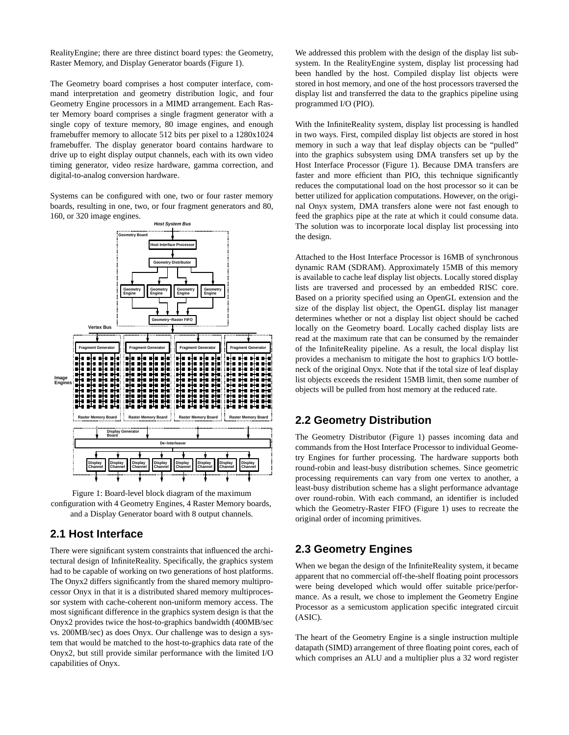RealityEngine; there are three distinct board types: the Geometry, Raster Memory, and Display Generator boards (Figure 1).

The Geometry board comprises a host computer interface, command interpretation and geometry distribution logic, and four Geometry Engine processors in a MIMD arrangement. Each Raster Memory board comprises a single fragment generator with a single copy of texture memory, 80 image engines, and enough framebuffer memory to allocate 512 bits per pixel to a 1280x1024 framebuffer. The display generator board contains hardware to drive up to eight display output channels, each with its own video timing generator, video resize hardware, gamma correction, and digital-to-analog conversion hardware.

Systems can be configured with one, two or four raster memory boards, resulting in one, two, or four fragment generators and 80, 160, or 320 image engines.



Figure 1: Board-level block diagram of the maximum configuration with 4 Geometry Engines, 4 Raster Memory boards, and a Display Generator board with 8 output channels.

#### **2.1 Host Interface**

There were significant system constraints that influenced the architectural design of InfiniteReality. Specifically, the graphics system had to be capable of working on two generations of host platforms. The Onyx2 differs significantly from the shared memory multiprocessor Onyx in that it is a distributed shared memory multiprocessor system with cache-coherent non-uniform memory access. The most significant difference in the graphics system design is that the Onyx2 provides twice the host-to-graphics bandwidth (400MB/sec vs. 200MB/sec) as does Onyx. Our challenge was to design a system that would be matched to the host-to-graphics data rate of the Onyx2, but still provide similar performance with the limited I/O capabilities of Onyx.

We addressed this problem with the design of the display list subsystem. In the RealityEngine system, display list processing had been handled by the host. Compiled display list objects were stored in host memory, and one of the host processors traversed the display list and transferred the data to the graphics pipeline using programmed I/O (PIO).

With the InfiniteReality system, display list processing is handled in two ways. First, compiled display list objects are stored in host memory in such a way that leaf display objects can be "pulled" into the graphics subsystem using DMA transfers set up by the Host Interface Processor (Figure 1). Because DMA transfers are faster and more efficient than PIO, this technique significantly reduces the computational load on the host processor so it can be better utilized for application computations. However, on the original Onyx system, DMA transfers alone were not fast enough to feed the graphics pipe at the rate at which it could consume data. The solution was to incorporate local display list processing into the design.

Attached to the Host Interface Processor is 16MB of synchronous dynamic RAM (SDRAM). Approximately 15MB of this memory is available to cache leaf display list objects. Locally stored display lists are traversed and processed by an embedded RISC core. Based on a priority specified using an OpenGL extension and the size of the display list object, the OpenGL display list manager determines whether or not a display list object should be cached locally on the Geometry board. Locally cached display lists are read at the maximum rate that can be consumed by the remainder of the InfiniteReality pipeline. As a result, the local display list provides a mechanism to mitigate the host to graphics I/O bottleneck of the original Onyx. Note that if the total size of leaf display list objects exceeds the resident 15MB limit, then some number of objects will be pulled from host memory at the reduced rate.

#### **2.2 Geometry Distribution**

The Geometry Distributor (Figure 1) passes incoming data and commands from the Host Interface Processor to individual Geometry Engines for further processing. The hardware supports both round-robin and least-busy distribution schemes. Since geometric processing requirements can vary from one vertex to another, a least-busy distribution scheme has a slight performance advantage over round-robin. With each command, an identifier is included which the Geometry-Raster FIFO (Figure 1) uses to recreate the original order of incoming primitives.

# **2.3 Geometry Engines**

When we began the design of the InfiniteReality system, it became apparent that no commercial off-the-shelf floating point processors were being developed which would offer suitable price/performance. As a result, we chose to implement the Geometry Engine Processor as a semicustom application specific integrated circuit (ASIC).

The heart of the Geometry Engine is a single instruction multiple datapath (SIMD) arrangement of three floating point cores, each of which comprises an ALU and a multiplier plus a 32 word register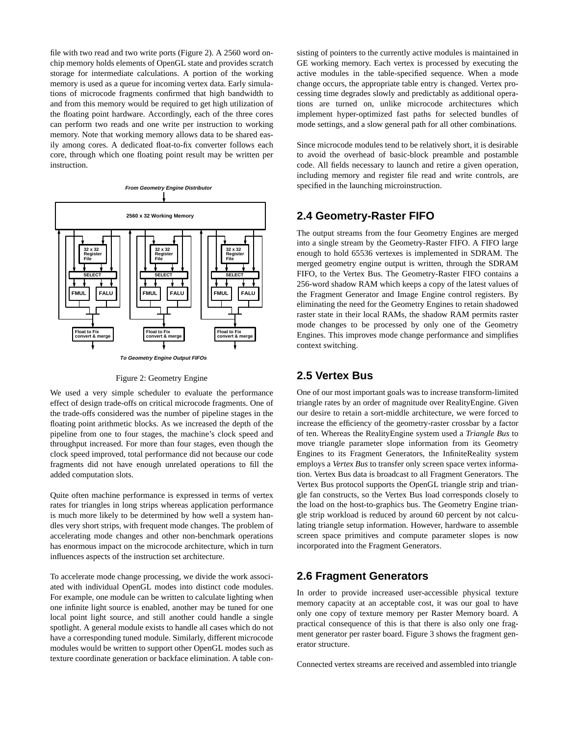file with two read and two write ports (Figure 2). A 2560 word onchip memory holds elements of OpenGL state and provides scratch storage for intermediate calculations. A portion of the working memory is used as a queue for incoming vertex data. Early simulations of microcode fragments confirmed that high bandwidth to and from this memory would be required to get high utilization of the floating point hardware. Accordingly, each of the three cores can perform two reads and one write per instruction to working memory. Note that working memory allows data to be shared easily among cores. A dedicated float-to-fix converter follows each core, through which one floating point result may be written per instruction.



**To Geometry Engine Output FIFOs**

Figure 2: Geometry Engine

We used a very simple scheduler to evaluate the performance effect of design trade-offs on critical microcode fragments. One of the trade-offs considered was the number of pipeline stages in the floating point arithmetic blocks. As we increased the depth of the pipeline from one to four stages, the machine's clock speed and throughput increased. For more than four stages, even though the clock speed improved, total performance did not because our code fragments did not have enough unrelated operations to fill the added computation slots.

Quite often machine performance is expressed in terms of vertex rates for triangles in long strips whereas application performance is much more likely to be determined by how well a system handles very short strips, with frequent mode changes. The problem of accelerating mode changes and other non-benchmark operations has enormous impact on the microcode architecture, which in turn influences aspects of the instruction set architecture.

To accelerate mode change processing, we divide the work associated with individual OpenGL modes into distinct code modules. For example, one module can be written to calculate lighting when one infinite light source is enabled, another may be tuned for one local point light source, and still another could handle a single spotlight. A general module exists to handle all cases which do not have a corresponding tuned module. Similarly, different microcode modules would be written to support other OpenGL modes such as texture coordinate generation or backface elimination. A table con-

sisting of pointers to the currently active modules is maintained in GE working memory. Each vertex is processed by executing the active modules in the table-specified sequence. When a mode change occurs, the appropriate table entry is changed. Vertex processing time degrades slowly and predictably as additional operations are turned on, unlike microcode architectures which implement hyper-optimized fast paths for selected bundles of mode settings, and a slow general path for all other combinations.

Since microcode modules tend to be relatively short, it is desirable to avoid the overhead of basic-block preamble and postamble code. All fields necessary to launch and retire a given operation, including memory and register file read and write controls, are specified in the launching microinstruction.

### **2.4 Geometry-Raster FIFO**

The output streams from the four Geometry Engines are merged into a single stream by the Geometry-Raster FIFO. A FIFO large enough to hold 65536 vertexes is implemented in SDRAM. The merged geometry engine output is written, through the SDRAM FIFO, to the Vertex Bus. The Geometry-Raster FIFO contains a 256-word shadow RAM which keeps a copy of the latest values of the Fragment Generator and Image Engine control registers. By eliminating the need for the Geometry Engines to retain shadowed raster state in their local RAMs, the shadow RAM permits raster mode changes to be processed by only one of the Geometry Engines. This improves mode change performance and simplifies context switching.

#### **2.5 Vertex Bus**

One of our most important goals was to increase transform-limited triangle rates by an order of magnitude over RealityEngine. Given our desire to retain a sort-middle architecture, we were forced to increase the efficiency of the geometry-raster crossbar by a factor of ten. Whereas the RealityEngine system used a *Triangle Bus* to move triangle parameter slope information from its Geometry Engines to its Fragment Generators, the InfiniteReality system employs a *Vertex Bus* to transfer only screen space vertex information. Vertex Bus data is broadcast to all Fragment Generators. The Vertex Bus protocol supports the OpenGL triangle strip and triangle fan constructs, so the Vertex Bus load corresponds closely to the load on the host-to-graphics bus. The Geometry Engine triangle strip workload is reduced by around 60 percent by not calculating triangle setup information. However, hardware to assemble screen space primitives and compute parameter slopes is now incorporated into the Fragment Generators.

#### **2.6 Fragment Generators**

In order to provide increased user-accessible physical texture memory capacity at an acceptable cost, it was our goal to have only one copy of texture memory per Raster Memory board. A practical consequence of this is that there is also only one fragment generator per raster board. Figure 3 shows the fragment generator structure.

Connected vertex streams are received and assembled into triangle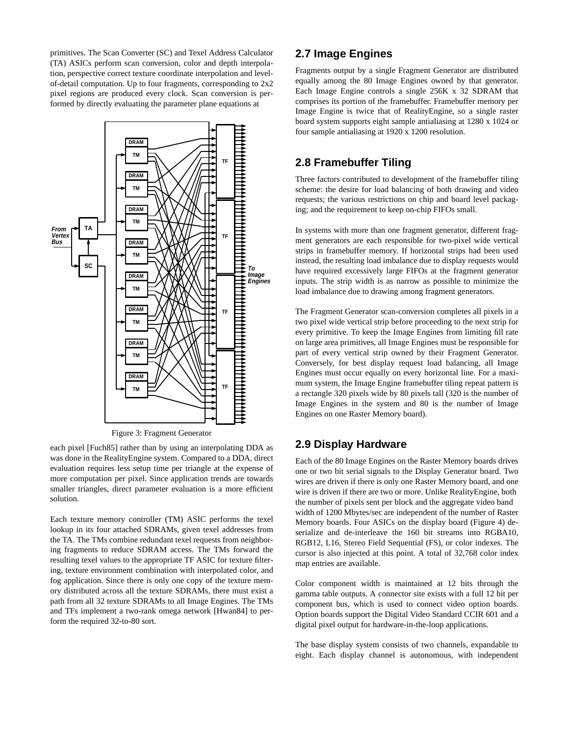primitives. The Scan Converter (SC) and Texel Address Calculator (TA) ASICs perform scan conversion, color and depth interpolation, perspective correct texture coordinate interpolation and levelof-detail computation. Up to four fragments, corresponding to 2x2 pixel regions are produced every clock. Scan conversion is performed by directly evaluating the parameter plane equations at



Figure 3: Fragment Generator

each pixel [Fuch85] rather than by using an interpolating DDA as was done in the RealityEngine system. Compared to a DDA, direct evaluation requires less setup time per triangle at the expense of more computation per pixel. Since application trends are towards smaller triangles, direct parameter evaluation is a more efficient solution.

Each texture memory controller (TM) ASIC performs the texel lookup in its four attached SDRAMs, given texel addresses from the TA. The TMs combine redundant texel requests from neighboring fragments to reduce SDRAM access. The TMs forward the resulting texel values to the appropriate TF ASIC for texture filtering, texture environment combination with interpolated color, and fog application. Since there is only one copy of the texture memory distributed across all the texture SDRAMs, there must exist a path from all 32 texture SDRAMs to all Image Engines. The TMs and TFs implement a two-rank omega network [Hwan84] to perform the required 32-to-80 sort.

# **2.7 Image Engines**

Fragments output by a single Fragment Generator are distributed equally among the 80 Image Engines owned by that generator. Each Image Engine controls a single 256K x 32 SDRAM that comprises its portion of the framebuffer. Framebuffer memory per Image Engine is twice that of RealityEngine, so a single raster board system supports eight sample antialiasing at 1280 x 1024 or four sample antialiasing at 1920 x 1200 resolution.

#### **2.8 Framebuffer Tiling**

Three factors contributed to development of the framebuffer tiling scheme: the desire for load balancing of both drawing and video requests; the various restrictions on chip and board level packaging; and the requirement to keep on-chip FIFOs small.

In systems with more than one fragment generator, different fragment generators are each responsible for two-pixel wide vertical strips in framebuffer memory. If horizontal strips had been used instead, the resulting load imbalance due to display requests would have required excessively large FIFOs at the fragment generator inputs. The strip width is as narrow as possible to minimize the load imbalance due to drawing among fragment generators.

The Fragment Generator scan-conversion completes all pixels in a two pixel wide vertical strip before proceeding to the next strip for every primitive. To keep the Image Engines from limiting fill rate on large area primitives, all Image Engines must be responsible for part of every vertical strip owned by their Fragment Generator. Conversely, for best display request load balancing, all Image Engines must occur equally on every horizontal line. For a maximum system, the Image Engine framebuffer tiling repeat pattern is a rectangle 320 pixels wide by 80 pixels tall (320 is the number of Image Engines in the system and 80 is the number of Image Engines on one Raster Memory board).

# **2.9 Display Hardware**

Each of the 80 Image Engines on the Raster Memory boards drives one or two bit serial signals to the Display Generator board. Two wires are driven if there is only one Raster Memory board, and one wire is driven if there are two or more. Unlike RealityEngine, both the number of pixels sent per block and the aggregate video band width of 1200 Mbytes/sec are independent of the number of Raster Memory boards. Four ASICs on the display board (Figure 4) deserialize and de-interleave the 160 bit streams into RGBA10, RGB12, L16, Stereo Field Sequential (FS), or color indexes. The cursor is also injected at this point. A total of 32,768 color index map entries are available.

Color component width is maintained at 12 bits through the gamma table outputs. A connector site exists with a full 12 bit per component bus, which is used to connect video option boards. Option boards support the Digital Video Standard CCIR 601 and a digital pixel output for hardware-in-the-loop applications.

The base display system consists of two channels, expandable to eight. Each display channel is autonomous, with independent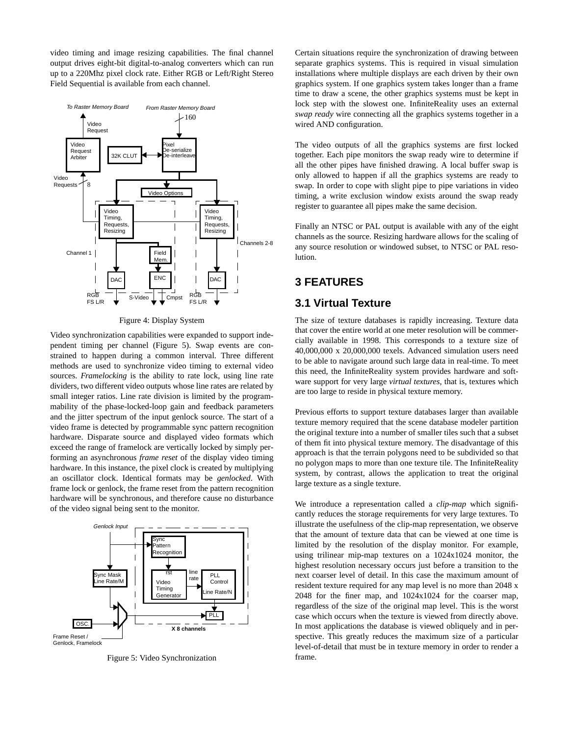video timing and image resizing capabilities. The final channel output drives eight-bit digital-to-analog converters which can run up to a 220Mhz pixel clock rate. Either RGB or Left/Right Stereo Field Sequential is available from each channel.



Figure 4: Display System

Video synchronization capabilities were expanded to support independent timing per channel (Figure 5). Swap events are constrained to happen during a common interval. Three different methods are used to synchronize video timing to external video sources. *Framelocking* is the ability to rate lock, using line rate dividers, two different video outputs whose line rates are related by small integer ratios. Line rate division is limited by the programmability of the phase-locked-loop gain and feedback parameters and the jitter spectrum of the input genlock source. The start of a video frame is detected by programmable sync pattern recognition hardware. Disparate source and displayed video formats which exceed the range of framelock are vertically locked by simply performing an asynchronous *frame reset* of the display video timing hardware. In this instance, the pixel clock is created by multiplying an oscillator clock. Identical formats may be *genlocked*. With frame lock or genlock, the frame reset from the pattern recognition hardware will be synchronous, and therefore cause no disturbance of the video signal being sent to the monitor.



Figure 5: Video Synchronization

Certain situations require the synchronization of drawing between separate graphics systems. This is required in visual simulation installations where multiple displays are each driven by their own graphics system. If one graphics system takes longer than a frame time to draw a scene, the other graphics systems must be kept in lock step with the slowest one. InfiniteReality uses an external *swap ready* wire connecting all the graphics systems together in a wired AND configuration.

The video outputs of all the graphics systems are first locked together. Each pipe monitors the swap ready wire to determine if all the other pipes have finished drawing. A local buffer swap is only allowed to happen if all the graphics systems are ready to swap. In order to cope with slight pipe to pipe variations in video timing, a write exclusion window exists around the swap ready register to guarantee all pipes make the same decision.

Finally an NTSC or PAL output is available with any of the eight channels as the source. Resizing hardware allows for the scaling of any source resolution or windowed subset, to NTSC or PAL resolution.

### **3 FEATURES**

# **3.1 Virtual Texture**

The size of texture databases is rapidly increasing. Texture data that cover the entire world at one meter resolution will be commercially available in 1998. This corresponds to a texture size of 40,000,000 x 20,000,000 texels. Advanced simulation users need to be able to navigate around such large data in real-time. To meet this need, the InfiniteReality system provides hardware and software support for very large *virtual textures*, that is, textures which are too large to reside in physical texture memory.

Previous efforts to support texture databases larger than available texture memory required that the scene database modeler partition the original texture into a number of smaller tiles such that a subset of them fit into physical texture memory. The disadvantage of this approach is that the terrain polygons need to be subdivided so that no polygon maps to more than one texture tile. The InfiniteReality system, by contrast, allows the application to treat the original large texture as a single texture.

We introduce a representation called a *clip-map* which significantly reduces the storage requirements for very large textures. To illustrate the usefulness of the clip-map representation, we observe that the amount of texture data that can be viewed at one time is limited by the resolution of the display monitor. For example, using trilinear mip-map textures on a 1024x1024 monitor, the highest resolution necessary occurs just before a transition to the next coarser level of detail. In this case the maximum amount of resident texture required for any map level is no more than 2048 x 2048 for the finer map, and 1024x1024 for the coarser map, regardless of the size of the original map level. This is the worst case which occurs when the texture is viewed from directly above. In most applications the database is viewed obliquely and in perspective. This greatly reduces the maximum size of a particular level-of-detail that must be in texture memory in order to render a frame.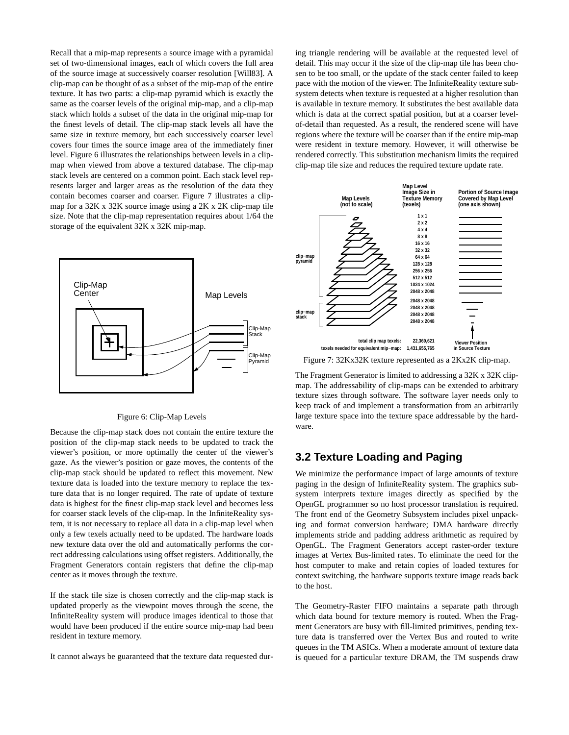Recall that a mip-map represents a source image with a pyramidal set of two-dimensional images, each of which covers the full area of the source image at successively coarser resolution [Will83]. A clip-map can be thought of as a subset of the mip-map of the entire texture. It has two parts: a clip-map pyramid which is exactly the same as the coarser levels of the original mip-map, and a clip-map stack which holds a subset of the data in the original mip-map for the finest levels of detail. The clip-map stack levels all have the same size in texture memory, but each successively coarser level covers four times the source image area of the immediately finer level. Figure 6 illustrates the relationships between levels in a clipmap when viewed from above a textured database. The clip-map stack levels are centered on a common point. Each stack level represents larger and larger areas as the resolution of the data they contain becomes coarser and coarser. Figure 7 illustrates a clipmap for a 32K x 32K source image using a 2K x 2K clip-map tile size. Note that the clip-map representation requires about 1/64 the storage of the equivalent 32K x 32K mip-map.



Figure 6: Clip-Map Levels

Because the clip-map stack does not contain the entire texture the position of the clip-map stack needs to be updated to track the viewer's position, or more optimally the center of the viewer's gaze. As the viewer's position or gaze moves, the contents of the clip-map stack should be updated to reflect this movement. New texture data is loaded into the texture memory to replace the texture data that is no longer required. The rate of update of texture data is highest for the finest clip-map stack level and becomes less for coarser stack levels of the clip-map. In the InfiniteReality system, it is not necessary to replace all data in a clip-map level when only a few texels actually need to be updated. The hardware loads new texture data over the old and automatically performs the correct addressing calculations using offset registers. Additionally, the Fragment Generators contain registers that define the clip-map center as it moves through the texture.

If the stack tile size is chosen correctly and the clip-map stack is updated properly as the viewpoint moves through the scene, the InfiniteReality system will produce images identical to those that would have been produced if the entire source mip-map had been resident in texture memory.

It cannot always be guaranteed that the texture data requested dur-

ing triangle rendering will be available at the requested level of detail. This may occur if the size of the clip-map tile has been chosen to be too small, or the update of the stack center failed to keep pace with the motion of the viewer. The InfiniteReality texture subsystem detects when texture is requested at a higher resolution than is available in texture memory. It substitutes the best available data which is data at the correct spatial position, but at a coarser levelof-detail than requested. As a result, the rendered scene will have regions where the texture will be coarser than if the entire mip-map were resident in texture memory. However, it will otherwise be rendered correctly. This substitution mechanism limits the required clip-map tile size and reduces the required texture update rate.



Figure 7: 32Kx32K texture represented as a 2Kx2K clip-map.

The Fragment Generator is limited to addressing a 32K x 32K clipmap. The addressability of clip-maps can be extended to arbitrary texture sizes through software. The software layer needs only to keep track of and implement a transformation from an arbitrarily large texture space into the texture space addressable by the hardware.

#### **3.2 Texture Loading and Paging**

We minimize the performance impact of large amounts of texture paging in the design of InfiniteReality system. The graphics subsystem interprets texture images directly as specified by the OpenGL programmer so no host processor translation is required. The front end of the Geometry Subsystem includes pixel unpacking and format conversion hardware; DMA hardware directly implements stride and padding address arithmetic as required by OpenGL. The Fragment Generators accept raster-order texture images at Vertex Bus-limited rates. To eliminate the need for the host computer to make and retain copies of loaded textures for context switching, the hardware supports texture image reads back to the host.

The Geometry-Raster FIFO maintains a separate path through which data bound for texture memory is routed. When the Fragment Generators are busy with fill-limited primitives, pending texture data is transferred over the Vertex Bus and routed to write queues in the TM ASICs. When a moderate amount of texture data is queued for a particular texture DRAM, the TM suspends draw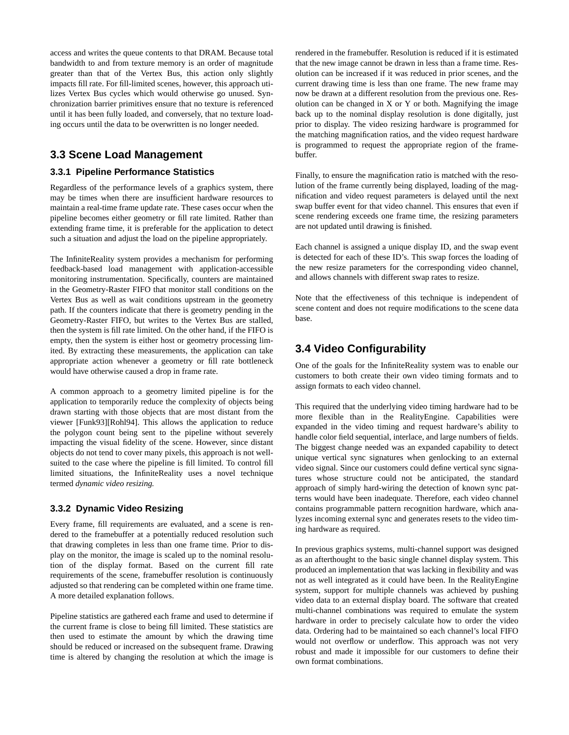access and writes the queue contents to that DRAM. Because total bandwidth to and from texture memory is an order of magnitude greater than that of the Vertex Bus, this action only slightly impacts fill rate. For fill-limited scenes, however, this approach utilizes Vertex Bus cycles which would otherwise go unused. Synchronization barrier primitives ensure that no texture is referenced until it has been fully loaded, and conversely, that no texture loading occurs until the data to be overwritten is no longer needed.

# **3.3 Scene Load Management**

#### **3.3.1 Pipeline Performance Statistics**

Regardless of the performance levels of a graphics system, there may be times when there are insufficient hardware resources to maintain a real-time frame update rate. These cases occur when the pipeline becomes either geometry or fill rate limited. Rather than extending frame time, it is preferable for the application to detect such a situation and adjust the load on the pipeline appropriately.

The InfiniteReality system provides a mechanism for performing feedback-based load management with application-accessible monitoring instrumentation. Specifically, counters are maintained in the Geometry-Raster FIFO that monitor stall conditions on the Vertex Bus as well as wait conditions upstream in the geometry path. If the counters indicate that there is geometry pending in the Geometry-Raster FIFO, but writes to the Vertex Bus are stalled, then the system is fill rate limited. On the other hand, if the FIFO is empty, then the system is either host or geometry processing limited. By extracting these measurements, the application can take appropriate action whenever a geometry or fill rate bottleneck would have otherwise caused a drop in frame rate.

A common approach to a geometry limited pipeline is for the application to temporarily reduce the complexity of objects being drawn starting with those objects that are most distant from the viewer [Funk93][Rohl94]. This allows the application to reduce the polygon count being sent to the pipeline without severely impacting the visual fidelity of the scene. However, since distant objects do not tend to cover many pixels, this approach is not wellsuited to the case where the pipeline is fill limited. To control fill limited situations, the InfiniteReality uses a novel technique termed *dynamic video resizing.*

#### **3.3.2 Dynamic Video Resizing**

Every frame, fill requirements are evaluated, and a scene is rendered to the framebuffer at a potentially reduced resolution such that drawing completes in less than one frame time. Prior to display on the monitor, the image is scaled up to the nominal resolution of the display format. Based on the current fill rate requirements of the scene, framebuffer resolution is continuously adjusted so that rendering can be completed within one frame time. A more detailed explanation follows.

Pipeline statistics are gathered each frame and used to determine if the current frame is close to being fill limited. These statistics are then used to estimate the amount by which the drawing time should be reduced or increased on the subsequent frame. Drawing time is altered by changing the resolution at which the image is

rendered in the framebuffer. Resolution is reduced if it is estimated that the new image cannot be drawn in less than a frame time. Resolution can be increased if it was reduced in prior scenes, and the current drawing time is less than one frame. The new frame may now be drawn at a different resolution from the previous one. Resolution can be changed in  $X$  or  $Y$  or both. Magnifying the image back up to the nominal display resolution is done digitally, just prior to display. The video resizing hardware is programmed for the matching magnification ratios, and the video request hardware is programmed to request the appropriate region of the framebuffer.

Finally, to ensure the magnification ratio is matched with the resolution of the frame currently being displayed, loading of the magnification and video request parameters is delayed until the next swap buffer event for that video channel. This ensures that even if scene rendering exceeds one frame time, the resizing parameters are not updated until drawing is finished.

Each channel is assigned a unique display ID, and the swap event is detected for each of these ID's. This swap forces the loading of the new resize parameters for the corresponding video channel, and allows channels with different swap rates to resize.

Note that the effectiveness of this technique is independent of scene content and does not require modifications to the scene data base.

# **3.4 Video Configurability**

One of the goals for the InfiniteReality system was to enable our customers to both create their own video timing formats and to assign formats to each video channel.

This required that the underlying video timing hardware had to be more flexible than in the RealityEngine. Capabilities were expanded in the video timing and request hardware's ability to handle color field sequential, interlace, and large numbers of fields. The biggest change needed was an expanded capability to detect unique vertical sync signatures when genlocking to an external video signal. Since our customers could define vertical sync signatures whose structure could not be anticipated, the standard approach of simply hard-wiring the detection of known sync patterns would have been inadequate. Therefore, each video channel contains programmable pattern recognition hardware, which analyzes incoming external sync and generates resets to the video timing hardware as required.

In previous graphics systems, multi-channel support was designed as an afterthought to the basic single channel display system. This produced an implementation that was lacking in flexibility and was not as well integrated as it could have been. In the RealityEngine system, support for multiple channels was achieved by pushing video data to an external display board. The software that created multi-channel combinations was required to emulate the system hardware in order to precisely calculate how to order the video data. Ordering had to be maintained so each channel's local FIFO would not overflow or underflow. This approach was not very robust and made it impossible for our customers to define their own format combinations.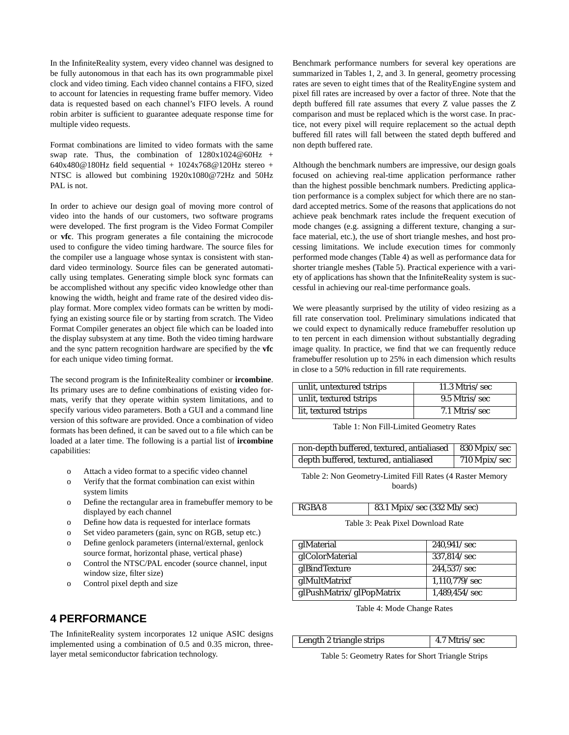In the InfiniteReality system, every video channel was designed to be fully autonomous in that each has its own programmable pixel clock and video timing. Each video channel contains a FIFO, sized to account for latencies in requesting frame buffer memory. Video data is requested based on each channel's FIFO levels. A round robin arbiter is sufficient to guarantee adequate response time for multiple video requests.

Format combinations are limited to video formats with the same swap rate. Thus, the combination of  $1280x1024@60Hz +$  $640x480@180Hz$  field sequential +  $1024x768@120Hz$  stereo + NTSC is allowed but combining 1920x1080@72Hz and 50Hz PAL is not.

In order to achieve our design goal of moving more control of video into the hands of our customers, two software programs were developed. The first program is the Video Format Compiler or **vfc**. This program generates a file containing the microcode used to configure the video timing hardware. The source files for the compiler use a language whose syntax is consistent with standard video terminology. Source files can be generated automatically using templates. Generating simple block sync formats can be accomplished without any specific video knowledge other than knowing the width, height and frame rate of the desired video display format. More complex video formats can be written by modifying an existing source file or by starting from scratch. The Video Format Compiler generates an object file which can be loaded into the display subsystem at any time. Both the video timing hardware and the sync pattern recognition hardware are specified by the **vfc** for each unique video timing format.

The second program is the InfiniteReality combiner or **ircombine**. Its primary uses are to define combinations of existing video formats, verify that they operate within system limitations, and to specify various video parameters. Both a GUI and a command line version of this software are provided. Once a combination of video formats has been defined, it can be saved out to a file which can be loaded at a later time. The following is a partial list of **ircombine** capabilities:

- o Attach a video format to a specific video channel
- o Verify that the format combination can exist within system limits
- o Define the rectangular area in framebuffer memory to be displayed by each channel
- o Define how data is requested for interlace formats
- o Set video parameters (gain, sync on RGB, setup etc.)
- o Define genlock parameters (internal/external, genlock source format, horizontal phase, vertical phase)
- Control the NTSC/PAL encoder (source channel, input window size, filter size)
- o Control pixel depth and size

# **4 PERFORMANCE**

The InfiniteReality system incorporates 12 unique ASIC designs implemented using a combination of 0.5 and 0.35 micron, threelayer metal semiconductor fabrication technology.

Benchmark performance numbers for several key operations are summarized in Tables 1, 2, and 3. In general, geometry processing rates are seven to eight times that of the RealityEngine system and pixel fill rates are increased by over a factor of three. Note that the depth buffered fill rate assumes that every Z value passes the Z comparison and must be replaced which is the worst case. In practice, not every pixel will require replacement so the actual depth buffered fill rates will fall between the stated depth buffered and non depth buffered rate.

Although the benchmark numbers are impressive, our design goals focused on achieving real-time application performance rather than the highest possible benchmark numbers. Predicting application performance is a complex subject for which there are no standard accepted metrics. Some of the reasons that applications do not achieve peak benchmark rates include the frequent execution of mode changes (e.g. assigning a different texture, changing a surface material, etc.), the use of short triangle meshes, and host processing limitations. We include execution times for commonly performed mode changes (Table 4) as well as performance data for shorter triangle meshes (Table 5). Practical experience with a variety of applications has shown that the InfiniteReality system is successful in achieving our real-time performance goals.

We were pleasantly surprised by the utility of video resizing as a fill rate conservation tool. Preliminary simulations indicated that we could expect to dynamically reduce framebuffer resolution up to ten percent in each dimension without substantially degrading image quality. In practice, we find that we can frequently reduce framebuffer resolution up to 25% in each dimension which results in close to a 50% reduction in fill rate requirements.

| unlit, untextured tstrips | $11.3 \text{ Mtris/sec}$ |
|---------------------------|--------------------------|
| unlit, textured tstrips   | 9.5 Mtris/sec            |
| lit, textured tstrips     | 7.1 Mtris/sec            |

Table 1: Non Fill-Limited Geometry Rates

| non-depth buffered, textured, antialiased   830 Mpix/sec |              |
|----------------------------------------------------------|--------------|
| depth buffered, textured, antialiased                    | 710 Mpix/sec |

Table 2: Non Geometry-Limited Fill Rates (4 Raster Memory boards)

| RGBA8 | $83.1 \overline{\text{Mpix/sec}}$ (332 Mb/sec) |
|-------|------------------------------------------------|
|       |                                                |

Table 3: Peak Pixel Download Rate

| glMaterial               | 240,941/sec            |
|--------------------------|------------------------|
| glColorMaterial          | 337,814/sec            |
| glBindTexture            | 244,537/sec            |
| glMultMatrixf            | $1,110,779/\text{sec}$ |
| glPushMatrix/glPopMatrix | $1,489,454/\text{sec}$ |

Table 4: Mode Change Rates

Length 2 triangle strips 14.7 Mtris/sec

Table 5: Geometry Rates for Short Triangle Strips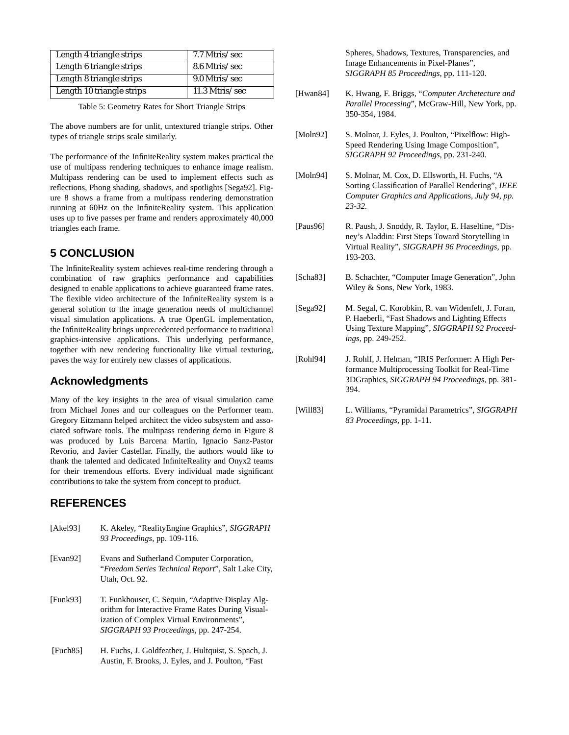| Length 4 triangle strips  | 7.7 Mtris/sec  |
|---------------------------|----------------|
| Length 6 triangle strips  | 8.6 Mtris/sec  |
| Length 8 triangle strips  | 9.0 Mtris/sec  |
| Length 10 triangle strips | 11.3 Mtris/sec |

Table 5: Geometry Rates for Short Triangle Strips

The above numbers are for unlit, untextured triangle strips. Other types of triangle strips scale similarly.

The performance of the InfiniteReality system makes practical the use of multipass rendering techniques to enhance image realism. Multipass rendering can be used to implement effects such as reflections, Phong shading, shadows, and spotlights [Sega92]. Figure 8 shows a frame from a multipass rendering demonstration running at 60Hz on the InfiniteReality system. This application uses up to five passes per frame and renders approximately 40,000 triangles each frame.

# **5 CONCLUSION**

The InfiniteReality system achieves real-time rendering through a combination of raw graphics performance and capabilities designed to enable applications to achieve guaranteed frame rates. The flexible video architecture of the InfiniteReality system is a general solution to the image generation needs of multichannel visual simulation applications. A true OpenGL implementation, the InfiniteReality brings unprecedented performance to traditional graphics-intensive applications. This underlying performance, together with new rendering functionality like virtual texturing, paves the way for entirely new classes of applications.

# **Acknowledgments**

Many of the key insights in the area of visual simulation came from Michael Jones and our colleagues on the Performer team. Gregory Eitzmann helped architect the video subsystem and associated software tools. The multipass rendering demo in Figure 8 was produced by Luis Barcena Martin, Ignacio Sanz-Pastor Revorio, and Javier Castellar. Finally, the authors would like to thank the talented and dedicated InfiniteReality and Onyx2 teams for their tremendous efforts. Every individual made significant contributions to take the system from concept to product.

# **REFERENCES**

- [Akel93] K. Akeley, "RealityEngine Graphics", *SIGGRAPH 93 Proceedings*, pp. 109-116.
- [Evan92] Evans and Sutherland Computer Corporation, "*Freedom Series Technical Report*", Salt Lake City, Utah, Oct. 92.
- [Funk93] T. Funkhouser, C. Sequin, "Adaptive Display Algorithm for Interactive Frame Rates During Visualization of Complex Virtual Environments", *SIGGRAPH 93 Proceedings*, pp. 247-254.
- [Fuch85] H. Fuchs, J. Goldfeather, J. Hultquist, S. Spach, J. Austin, F. Brooks, J. Eyles, and J. Poulton, "Fast

Spheres, Shadows, Textures, Transparencies, and Image Enhancements in Pixel-Planes", *SIGGRAPH 85 Proceedings*, pp. 111-120.

- [Hwan84] K. Hwang, F. Briggs, "*Computer Archetecture and Parallel Processing*", McGraw-Hill, New York, pp. 350-354, 1984.
- [Moln92] S. Molnar, J. Eyles, J. Poulton, "Pixelflow: High-Speed Rendering Using Image Composition", *SIGGRAPH 92 Proceedings*, pp. 231-240.
- [Moln94] S. Molnar, M. Cox, D. Ellsworth, H. Fuchs, "A Sorting Classification of Parallel Rendering", *IEEE Computer Graphics and Applications, July 94, pp. 23-32.*
- [Paus96] R. Paush, J. Snoddy, R. Taylor, E. Haseltine, "Disney's Aladdin: First Steps Toward Storytelling in Virtual Reality", *SIGGRAPH 96 Proceedings*, pp. 193-203.
- [Scha83] B. Schachter, "Computer Image Generation", John Wiley & Sons, New York, 1983.
- [Sega92] M. Segal, C. Korobkin, R. van Widenfelt, J. Foran, P. Haeberli, "Fast Shadows and Lighting Effects Using Texture Mapping", *SIGGRAPH 92 Proceedings*, pp. 249-252.
- [Rohl94] J. Rohlf, J. Helman, "IRIS Performer: A High Performance Multiprocessing Toolkit for Real-Time 3DGraphics, *SIGGRAPH 94 Proceedings*, pp. 381- 394.
- [Will83] L. Williams, "Pyramidal Parametrics", *SIGGRAPH 83 Proceedings*, pp. 1-11.